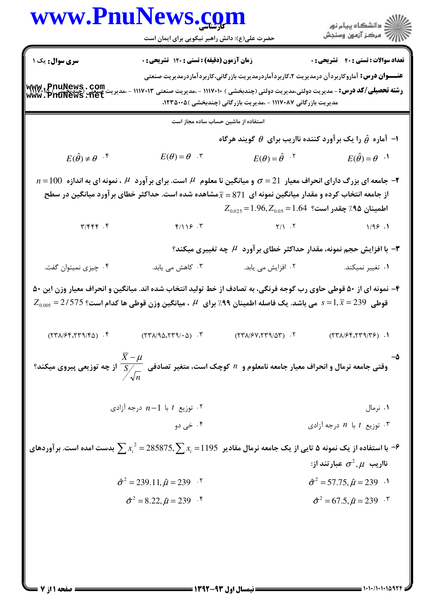## www.PnuNews.com

حضرت علی(ع): دانش راهبر نیکویی برای ایمان است

ار<br>اڳو دانشڪاه پيام نور<br>اڳ مرڪز آزمون وسنڊش

**سری سوال :** یک ۱

**تعداد سوالات : تستي : 40 - تشريحي : 0** زمان آزمون (دقیقه) : تستی : 120 تشریحی : 0

**عنـــوان درس:** آماروکاربردآن درمدیریت ۲،کاربردآماردرمدیریت بازرگانی،کاربردآماردرمدیریت صنعتی

www.pnuNews.com **رشته تحصیلی/کد درس: -** مدیریت دولتی،مدیریت دولتی (چندبخشی ) ۱۱۷۰۱۰ - ،مدیریت صنعتی ۱۱۱۷۰۱۳ - ،مدیریت مدیریت بازرگانی ۱۱۱۷۰۸۷ - ،مدیریت بازرگانی (چندبخشی )۲۳۵۰۰۵،

استفاده از ماشین حساب ساده مجاز است

ا- آماره  $\hat{\theta}$  را یک برآورد کننده نااریب برای  $\theta$  گویند هرگاه  $E(\theta) = \theta$  .  $E(\theta) = \hat{\theta}$ .  $E(\hat{\theta}) \neq \theta$ <sup>.\*</sup>  $E(\hat{\theta}) = \theta^{-1}$ 

- $n=100$  جامعه ای بزرگ دارای انحراف معیار  $\sigma=21$  و میانگین نا معلوم  $\,$  است. برای بر آورد  $\,$  ، نمونه ای به اندازه  $\,$   $\,$ از جامعه انتخاب کرده و مقدار میانگین نمونه ای  $\overline{x} = 871$ مشاهده شده است. حداکثر خطای بر آورد میانگین در سطح  $Z_{0.025}$ اطمينان ۹۵٪ چقدر است؟ 1.64=1.96, $Z_{0.05}$ =1.96
	- $Y/Y$   $Y$  $\tau/\tau \tau \tau$ .  $\tau$  $F/119.7$  $1/95.1$

- با افزایش حجم نمونه، مقدار حداکثر خطای برآورد  ${\mathcal H}$  چه تغییری میکند ${\mathfrak e}$ 

۰۳ کاهش م*ی* باید. ٢. افزایش مے باید. ۰۱ تغییر نمیکند. ۰۴ چیزی نمیتوان گفت.

۴- نمونه ای از ۵۰ قوطی حاوی رب گوجه فرنگی، به تصادف از خط تولید انتخاب شده اند. میانگین و انحراف معیار وزن این ۵۰  $Z_{0.005}$  قوطی  $239$   $\bar{x}$  = 1,  $\overline{x}$  می باشد. یک فاصله اطمینان ۹۹٪ برای  $\,$  ، میانگین وزن قوطی ها کدام است؟ 375/5 $\,$   $s$ 

 $(54/55.579/50)$ .  $(YY\Lambda/9\Delta.YY9/\cdot\Delta)$ .  $(77\lambda/51.779/\Delta T)$ .  $(57\lambda)59.579/75$ ).

وقتی جامعه نرمال و انحراف معیار جامعه نامعلوم و  $n$  کوچک است، متغیر تصادفی  $\dfrac{X-\mu}{\sum\limits_{i=1}^N}$  از چه توزیعی پیروی میکند؟

۰۲ توزیع  $t$  با  $n-1$  درجه آزادی ۲۰ ۰۱ نرمال

۴. خي دو توزیع  $t$  با  $n$  درجه آزادی  $\cdot$ 

با استفاده از یک نمونه ۵ تایی از یک جامعه نرمال مقادیر  $x_i=1195$ 75, $\sum x_i^2=285875,$  بدست امده است. بر آوردهای  $\to$ نااریب  $\sigma^2,\mu$  عبارتند از:

- $\hat{\sigma}^2 = 239.11, \hat{\mu} = 239$  .  $\hat{\sigma}^2 = 57.75$ ,  $\hat{\mu} = 239$   $\cdot$ <sup>1</sup>
	- $\hat{\sigma}^2 = 8.22, \hat{\mu} = 239$  .  $\hat{\sigma}^2 = 67.5, \hat{\mu} = 239$ .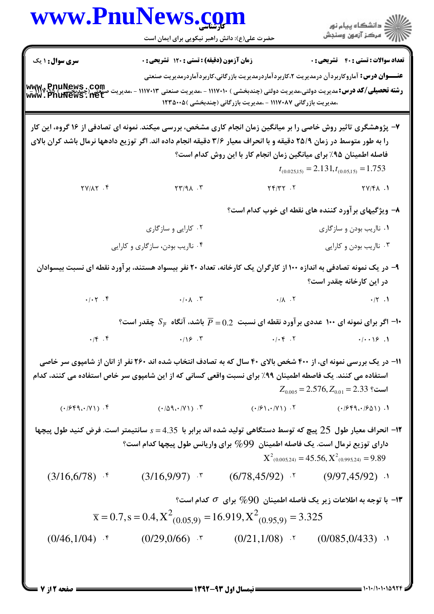| www.PnuNews.com                                                                                                                                                                                                                          | حضرت علی(ع): دانش راهبر نیکویی برای ایمان است                                                                                   |                                                                                         | الا دانشگاه پيام نور<br>   > مرکز آزمون وسنڊش                                                                                                                                                                                                                  |
|------------------------------------------------------------------------------------------------------------------------------------------------------------------------------------------------------------------------------------------|---------------------------------------------------------------------------------------------------------------------------------|-----------------------------------------------------------------------------------------|----------------------------------------------------------------------------------------------------------------------------------------------------------------------------------------------------------------------------------------------------------------|
| <b>سری سوال : ۱ یک</b><br>www.PnuNews.com                                                                                                                                                                                                | زمان آزمون (دقیقه) : تستی : ۱۲۰ تشریحی : ۰                                                                                      | ،مدیریت بازرگانی ۱۱۱۷۰۸۷ - ،مدیریت بازرگانی (چندبخشی ) ۱۲۳۵۰۰۵                          | <b>تعداد سوالات : تستی : 40 قشریحی : 0</b><br><b>عنــــوان درس:</b> آماروکاربردآن درمدیریت ۲،کاربردآماردرمدیریت بازرگانی،کاربردآماردرمدیریت صنعتی<br><b>رشته تحصیلی/کد درس:</b> مدیریت دولتی،مدیریت دولتی (چندبخشی ) ۱۱۱۷۰۱۰ - ،مدیریت صنعتی ۱۱۱۷۰۱۳ - ،مدیریت |
| ۷- پژوهشگری تاثیر روش خاصی را بر میانگین زمان انجام کاری مشخص، بررسی میکند. نمونه ای تصادفی از ۱۶ گروه، این کار<br>را به طور متوسط در زمان ۲۵/۹ دقیقه و با انحراف معیار ۳/۶ دقیقه انجام داده اند. اگر توزیع دادهها نرمال باشد کران بالای |                                                                                                                                 | فاصله اطمینان ۹۵٪ برای میانگین زمان انجام کار با این روش کدام است؟                      | $t_{(0.025,15)} = 2.131, t_{(0.05,15)} = 1.753$                                                                                                                                                                                                                |
| $YY/\lambda Y$ .                                                                                                                                                                                                                         | $YY/9\Lambda$ .                                                                                                                 | $\gamma \gamma / \gamma$ $\gamma$ $\gamma$ $\gamma$ $\gamma$ $\gamma$ $\gamma$ $\gamma$ |                                                                                                                                                                                                                                                                |
|                                                                                                                                                                                                                                          |                                                                                                                                 |                                                                                         | ۸– ویژگیهای برآورد کننده های نقطه ای خوب کدام است؟                                                                                                                                                                                                             |
|                                                                                                                                                                                                                                          | ۰۲ کارایی و سازگاری                                                                                                             |                                                                                         | ۰۱ نااریب بودن و سازگاری                                                                                                                                                                                                                                       |
|                                                                                                                                                                                                                                          | ۰۴ نااریب بودن، سازگاری و کارایی                                                                                                |                                                                                         | ۰۳ نااریب بودن و کارایی                                                                                                                                                                                                                                        |
|                                                                                                                                                                                                                                          | ۹– در یک نمونه تصادفی به اندازه ۱۰۰ از کارگران یک کارخانه، تعداد ۲۰ نفر بیسواد هستند، بر آورد نقطه ای نسبت بیسوادان             |                                                                                         | در این کارخانه چقدر است؟                                                                                                                                                                                                                                       |
|                                                                                                                                                                                                                                          |                                                                                                                                 |                                                                                         |                                                                                                                                                                                                                                                                |
|                                                                                                                                                                                                                                          | ا اگر برای نمونه ای ۱۰۰ عددی برآورد نقطه ای نسبت $0.2$ $\overline{P} = 0.2$ باشد، آنگاه $S_{\overline{P}}$ چقدر است؟ $^{\circ}$ |                                                                                         |                                                                                                                                                                                                                                                                |
| $\cdot$ /f $\cdot$ f                                                                                                                                                                                                                     | .19.5                                                                                                                           | .1.5                                                                                    | $\cdot/\cdot\cdot$ \\pi . \                                                                                                                                                                                                                                    |
| استفاده می کنند. یک فاصطه اطمینان ۹۹٪ برای نسبت واقعی کسانی که از این شامپوی سر خاص استفاده می کنند، کدام                                                                                                                                | <b>۱۱- در یک بررسی نمونه ای، از ۴۰۰ شخص بالای ۴۰ سال که به تصادف انتخاب شده اند ۲۶۰ نفر از انان از شامپوی سر خاصی</b>           |                                                                                         | $Z_{0.005}$ = 2.576, $Z_{0.01}$ = 2.33 ؟                                                                                                                                                                                                                       |
|                                                                                                                                                                                                                                          | $(1/5)$ (1/959.1) (1/69.1) (1/69.1) (1/69.1) (1/69.1) (1/69.1) (1/69.1) (1/959.1) (1/959.1) (1/959.1)                           |                                                                                         |                                                                                                                                                                                                                                                                |
|                                                                                                                                                                                                                                          | دارای توزیع نرمال است. یک فاصله اطمینان $\%99$ برای واریانس طول پیچها کدام است؟                                                 |                                                                                         | ۱۲– انحراف معیار طول  25 پیچ که توسط دستگاهی تولید شده اند برابر با  4.35 = s سانتیمتر است. فرض کنید طول پیچها<br>$X^2_{(0.005,24)} = 45.56, X^2_{(0.995,24)} = 9.89$                                                                                          |
|                                                                                                                                                                                                                                          | $(3/16,6/78)$ * $(3/16,9/97)$ * $(6/78,45/92)$ * $(9/97,45/92)$ *                                                               |                                                                                         |                                                                                                                                                                                                                                                                |
|                                                                                                                                                                                                                                          |                                                                                                                                 |                                                                                         | ا— با توجه به اطلاعات زیر یک فاصله اطمینان $\%90$ برای $\,\sigma\,$ کدام است؟ $\,$                                                                                                                                                                             |
|                                                                                                                                                                                                                                          | $\overline{x}$ = 0.7, s = 0.4, $X^2$ <sub>(0.05,9)</sub> = 16.919, $X^2$ <sub>(0.95,9)</sub> = 3.325                            |                                                                                         |                                                                                                                                                                                                                                                                |
| $(0/46,1/04)$ f                                                                                                                                                                                                                          | $(0/29,0/66)$ * $(0/21,1/08)$ * $(0/085,0/433)$ ·                                                                               |                                                                                         |                                                                                                                                                                                                                                                                |
|                                                                                                                                                                                                                                          |                                                                                                                                 |                                                                                         |                                                                                                                                                                                                                                                                |

 $= 1.1 - 11.1 - 1097$ 

صفحه 2 از 7 =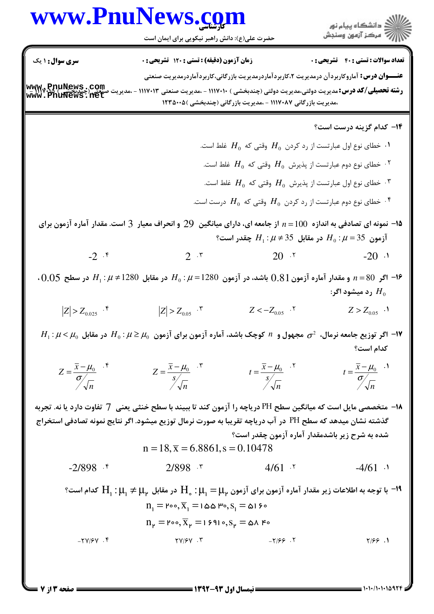## www.PnuNews.com

حضرت علی(ع): دانش راهبر نیکویی برای ایمان است

**سری سوال : ۱ یک** 

**تعداد سوالات : تستی : 40 - تشریحی : 0** زمان آزمون (دقیقه) : تستی : ۱۲۰ تشریحی : ۰ عنـــوان درس: آماروکاربردآن درمدیریت ۲،کاربردآماردرمدیریت بازرگانی،کاربردآماردرمدیریت صنعتی

www.PnuNews.com **رشته تحصیلی/کد درس: م**دیریت دولتی،مدیریت دولتی (چندبخشی ) ۱۱۷۰۱۰ - ،مدیریت صنعتی ۱۱۱۷۰۱۳ - ،مدیریت ،مدیریت بازرگانی ۱۱۱۷۰۸۷ - ،مدیریت بازرگانی (چندبخشی )۲۳۵۰۰۵

**۱۴** کدام گزینه درست است؟

- ۰۱ خطای نوع اول عبارتست از رد کردن  $H_0$  وقتی که  $H_0$  غلط است.  $\cdot$ ۰۲ خطای نوع دوم عبارتست از پذیرش  $H_{0}$  وقتی که  $H_{0}$  غلط است.  $^{\prime}$ خطای نوع اول عبارتست از پذیرش  $H_0$  وقتی که  $H_0$  غلط است. " ۰۴ خطای نوع دوم عبارتست از رد کردن  $H_0$  وقتی که  $H_0$  درست است.  $^\mathfrak{e}$
- ه ا— نمونه ای تصادفی به اندازه  $100$  = از جامعه ای، دارای میانگین  $29$  و انحراف معیار  $3$  است. مقدار آماره آزمون برای أزمون 35 $\mu = H_0 : H_2 \neq 35$  در مقابل 35 $H_1 : \mu \neq H_2$  چقدر است؟
	- $-2$   $.5$  $20.7$  $-20.1$  $2.5$

 $0.05$  - اگر 80= $n = 80$  و مقدار آماره آزمون 18 $0.81$  باشد، در آزمون 1280= $H_0$  در مقابل 1280 $H_1: \mu \ne 1280$  در سطح $n = 80$ رد مىشود اگر $H_{\alpha}$ 

 $|Z| > Z_{0.05}$ .  $|Z| > Z_{0.025}$  . f  $Z < -Z_{0.05}$ .  $Z > Z_{0.05}$  .

 $H_1$  اگر توزیع جامعه نرمال،  $\sigma^2$  مجهول و  $n$  کوچک باشد، آماره آزمون برای آزمون  $\mu_0$  :  $\mu\geq\mu_0$  در مقابل  $H_0$   $\mu$ كدام است؟

$$
Z = \frac{\overline{x} - \mu_0}{\sigma \sqrt{n}} \qquad Z = \frac{\overline{x} - \mu_0}{s \sqrt{n}} \qquad t = \frac{\overline{x} - \mu_0}{s \sqrt{n}} \qquad t = \frac{\overline{x} - \mu_0}{\sigma \sqrt{n}} \qquad t = \frac{\overline{x} - \mu_0}{\sigma \sqrt{n}}
$$

1۸− متخصصی مایل است که میانگین سطح PH دریاچه را آزمون کند تا ببیند با سطح خنثی یعنی 7 تفاوت دارد یا نه. تجربه گذشته نشان میدهد که سطح PH در آب دریاچه تقریبا به صورت نرمال توزیع میشود. اگر نتایج نمونه تصادفی استخراج شده به شرح زیر باشدمقدار آماره آزمون چقدر است؟

$$
n = 18, \overline{x} = 6.8861, s = 0.10478
$$

 $4/61.7$  $-2/898$  f  $2/898$   $\cdot$  $-4/61$  .

 $^{\circ}$ ا = با توجه به اطلاعات زیر مقدار آماره آزمون برای آزمون  $\mu_{\rm p}=\mu_{\rm p}$  در مقابل  $\mu_{\rm p}\neq\mu_{\rm p}$  كدام است $^{\circ}$  $n_1 = \text{Poo}, \overline{X}_1 = \text{Poo}$   $\text{Poo}, S_1 = \text{O}$  |  $\text{Po}$  $n_{\nu} = \text{Poo}, \overline{X}_{\nu} = 15910, S_{\nu} = \Delta A.$  $-YV/FV$ .  $YV/SV \cdot Y$  $-7/99.7$  $Y/99.1$ 

صفحه 3 از 7 =

 $= 1.1.11.11111475$ 

ار<br>الله دانشگاه پیام نور<br>الله مرکز آزمون وسنجش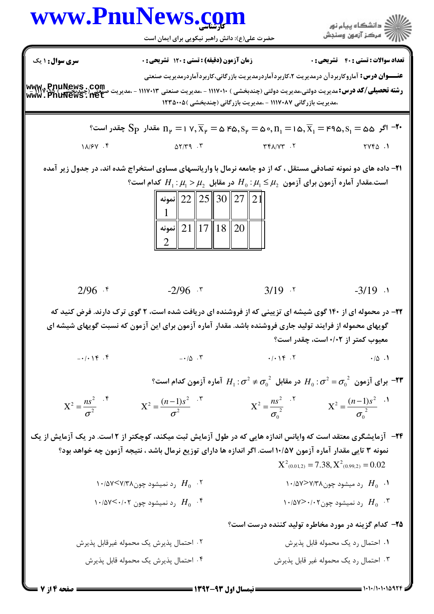|                                                          | www.PnuNews.com<br>حضرت علی(ع): دانش راهبر نیکویی برای ایمان است                                                                                                                                                                                                                                                                                                                             |                                                               | ِ<br>∭ دانشڪاه پيام نور<br>∭ مرڪز آزمون وسنڊش                                                                                                                                                                                         |
|----------------------------------------------------------|----------------------------------------------------------------------------------------------------------------------------------------------------------------------------------------------------------------------------------------------------------------------------------------------------------------------------------------------------------------------------------------------|---------------------------------------------------------------|---------------------------------------------------------------------------------------------------------------------------------------------------------------------------------------------------------------------------------------|
| <b>سری سوال :</b> ۱ یک                                   | <b>زمان آزمون (دقیقه) : تستی : 120 تشریحی : 0</b>                                                                                                                                                                                                                                                                                                                                            |                                                               | <b>تعداد سوالات : تستی : 40 - تشریحی : 0</b>                                                                                                                                                                                          |
| www.PnuNews.com<br>صَفِيَى (چَنْدَیْجِ www.PnuNews.net   | <b>عنـــوان درس:</b> آماروکاربردآن درمدیریت ۲،کاربردآماردرمدیریت بازرگانی،کاربردآماردرمدیریت صنعتی<br><b>رشته تحصیلی/کد درس:</b> مدیریت دولتی،مدیریت دولتی (چندبخشی ) ۱۱۷۰۱۰ - ،مدیریت صنعتی ۱۱۱۷۰۱۳ - ،مدیریت                                                                                                                                                                               | ،مدیریت بازرگانی ۱۱۱۷۰۸۷ - ،مدیریت بازرگانی (چندبخشی )۱۲۳۵۰۰۵ |                                                                                                                                                                                                                                       |
|                                                          | °۰ ا $S_P$ بعقدر است $n_{\rm p} = 1 \vee, \overline{X}_{\rm p} = \Delta$ ۴۵٫ $S_{\rm p} = \Delta \circ, n_{\rm i} = 1 \Delta, \overline{X}_{\rm i} = 1$ مقدار $S_{\rm i} = 1$ جقدر است $S_{\rm i}$                                                                                                                                                                                           |                                                               |                                                                                                                                                                                                                                       |
| 11/8V.F                                                  | $\Delta Y/Y$ $\mathcal{P}$ $\mathcal{P}$                                                                                                                                                                                                                                                                                                                                                     | $Y^*$ $(Y^*$                                                  | <b>1. ۲۷۴۵</b>                                                                                                                                                                                                                        |
|                                                          | ۲۱– داده های دو نمونه تصادفی مستقل ، که از دو جامعه نرمال با واریانسهای مساوی استخراج شده اند، در جدول زیر آمده<br>است.مقدار آماره آزمون برای آزمون $\mu_2 \leq \mu_1 \leq \mu_2$ در مقابل $\mu_1 > \mu_1 > H_1$ کدام است؟<br>نمونه $\parallel$ 22 $\parallel$ 25 $\parallel$ 30 $\parallel$ 27 $\parallel$ 21 $\parallel$<br>نمونه $\parallel$ 21 $\parallel$ 17 $\parallel$ 18 $\parallel$ |                                                               |                                                                                                                                                                                                                                       |
| $2/96$ .*                                                | $-2/96$ $\cdot$ $\cdot$                                                                                                                                                                                                                                                                                                                                                                      | $3/19$ $.7$                                                   | $-3/19$ $\cdot$                                                                                                                                                                                                                       |
|                                                          | ۲۲- در محموله ای از ۱۴۰ گوی شیشه ای تزیینی که از فروشنده ای دریافت شده است، ۲ گوی ترک دارند. فرض کنید که<br>گویهای محموله از فرایند تولید جاری فروشنده باشد. مقدار آماره آزمون برای این آزمون که نسبت گویهای شیشه ای                                                                                                                                                                         |                                                               | معیوب کمتر از ۰/۰۲ است، چقدر است؟                                                                                                                                                                                                     |
| $-1$ $\cdot$ $\uparrow$ $\uparrow$ $\uparrow$ $\uparrow$ | $ \cdot$ / $\alpha$ $\cdot$ $\cdot$                                                                                                                                                                                                                                                                                                                                                          |                                                               | $\cdot$ / $\cdot$ \rightarrow \rightarrow \rightarrow \rightarrow \rightarrow \rightarrow \rightarrow \rightarrow \rightarrow \rightarrow \rightarrow \rightarrow \rightarrow \rightarrow \rightarrow \rightarrow \rightarrow \righta |
|                                                          |                                                                                                                                                                                                                                                                                                                                                                                              |                                                               | مر مقابل $\sigma^2=\sigma_0^{-2}$ آماره آزمون کدام است؟ $H_0$ : $\sigma^2=\sigma_0^{-2}$ برای آزمون کدام است $H_0$                                                                                                                    |
| $X^2 = \frac{ns^2}{\sigma^2}$                            | $X^{2} = \frac{(n-1)s^{2}}{\sigma^{2}}$                                                                                                                                                                                                                                                                                                                                                      |                                                               | $X^{2} = \frac{ns^{2}}{\sigma_{0}^{2}}$ $X^{2} = \frac{(n-1)s^{2}}{\sigma_{0}^{2}}$ $X^{1}$                                                                                                                                           |
|                                                          | <b>۲۴</b> - آزمایشگری معتقد است که وایانس اندازه هایی که در طول آزمایش ثبت میکند، کوچکتر از ۲ است. در یک آزمایش از یک<br>نمونه ۳ تایی مقدار آماره آزمون ۱۰/۵۷ است. اگر اندازه ها دارای توزیع نرمال باشد ، نتیجه آزمون چه خواهد بود؟                                                                                                                                                          |                                                               | $X^2_{(0.01,2)} = 7.38, X^2_{(0.99,2)} = 0.02$                                                                                                                                                                                        |
|                                                          | ۱۰/۵۷ $H_0$ ( د نمیشود چون $\mathcal{H}$ ۷٬۲۸                                                                                                                                                                                                                                                                                                                                                |                                                               | ۱۰/۵۷>۷/۳۸ رد میشود چون $\mathcal{H}_0$ ۰۱ $H_0$                                                                                                                                                                                      |
|                                                          | ۱۰/۵۷ $\leq$ ۰/۰۲ رد نمیشود چون ۱۰/۵۷ $H_0$                                                                                                                                                                                                                                                                                                                                                  |                                                               | ۱۰/۵۷ $\geq$ ۰/۰۲ رد نمیشود چون ۱۰/۵۷ $\geq$ ۰/۲                                                                                                                                                                                      |
|                                                          |                                                                                                                                                                                                                                                                                                                                                                                              |                                                               | ۲۵– کدام گزینه در مورد مخاطره تولید کننده درست است؟                                                                                                                                                                                   |
|                                                          | ٢. احتمال پذيرش يک محموله غيرقابل پذيرش                                                                                                                                                                                                                                                                                                                                                      |                                                               | ۰۱ احتمال رد یک محموله قابل پذیرش                                                                                                                                                                                                     |
|                                                          | ۰۴ احتمال پذیرش یک محموله قابل پذیرش                                                                                                                                                                                                                                                                                                                                                         |                                                               | ۰۳ احتمال رد یک محموله غیر قابل پذیرش                                                                                                                                                                                                 |

 $= 1.1 - 11.1 - 10974$ 

**= صفحه 4 از 7 =**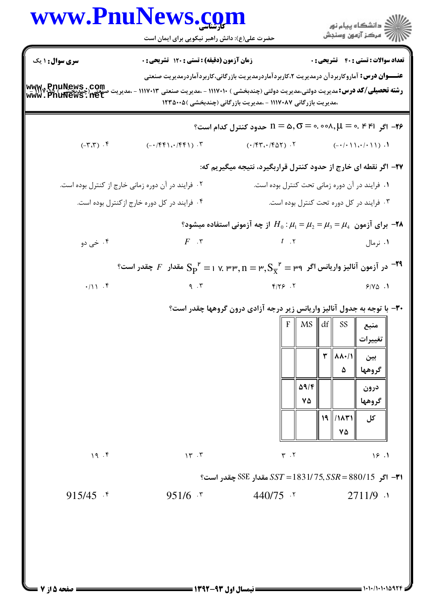#### www.PnuNews.com ا<br>||<br>||7|| مرکز آزمون وسنجش حضرت علی(ع): دانش راهبر نیکویی برای ایمان است **سری سوال : ۱ ی**ک تعداد سوالات : تستى : 40 - تشريحي : 0 زمان آزمون (دقیقه) : تستی : 120 تشریحی: 0 عنـــوان درس: آماروکاربردآن درمدیریت ۲،کاربردآماردرمدیریت بازرگانی،کاربردآماردرمدیریت صنعتی

### ،مدیریت بازرگانی ۱۱۱۷۰۸۷ - ،مدیریت بازرگانی (چندبخشی )۲۳۵۰۰۵

### ۲۷- اگر نقطه ای خارج از حدود کنترل قراربگیرد، نتیجه میگیریم که:

$$
H_0: \mu_1 = \mu_2 = \mu_3 = \mu_4
$$
 از چه آزمونی استفاده میشود?  
\n $F \quad .7$ 

#### $^{\mathsf{P}}$ در آزمون آنالیز واریانس اگر  $\mathsf{P} = \mathsf{P}, \mathsf{S}_\chi^{-\mathsf{P}} = \mathsf{P}, \mathsf{S}_\chi^{-\mathsf{P}} = \mathsf{P}$  مقدار  $F$  چقدر است  $^{-\mathsf{P} \mathsf{P}}$  $Y/Y$  .  $Y$  $.111.5$  $9.7$  $Y/Y\Delta$ .

### ۳۰- با توجه به جدول آنالیز واریانس زیر درجه آزادی درون گروهها چقدر است؟

| F | MS   | df | SS            | منبع    |
|---|------|----|---------------|---------|
|   |      |    |               | تغييرات |
|   |      | ٣  | <b>AA</b> +/1 | بين     |
|   |      |    | ۵             | گروهها  |
|   | 59/F |    |               | درون    |
|   | ۷۵   |    |               | گروهها  |
|   |      | 19 | ۱۸۳۱/         | کل      |
|   |      |    | ۷۵            |         |

#### $\gamma$   $\gamma$  $Y \cdot Y$  $19.1$

است؟ SSE مقدار SST = 1831/ 75, SSR = 880/15 مقدار SSE چقدر است؟

 $951/6$   $\cdot$   $\cdot$  $440/75$   $\cdot$   $\cdot$  $2711/9$   $\cdot$ 

صفحه 5 از 7 =

 $19.5$ 

 $915/45$  f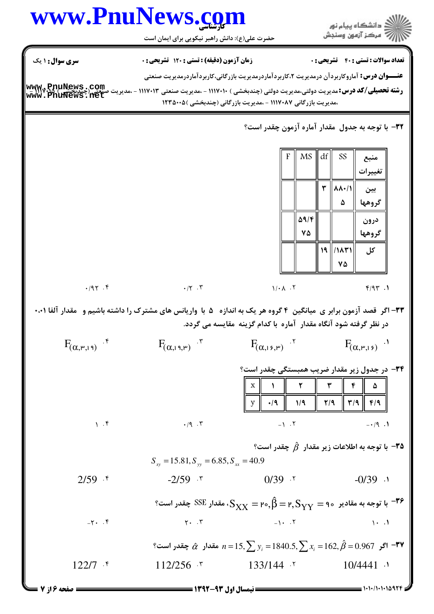# www.PnuNews.com

ر<br>اللاد دانشگاه پیام نور<br>اللاد مرکز آزمون وسنجش

حضرت علی(ع): دانش راهبر نیکویی برای ایمان است

**سری سوال : ۱ یک تعداد سوالات : تستي : 40 - تشريحي : 0** زمان آزمون (دقیقه) : تستی : 120 تشریحی: 0 عنـــوان درس: آماروکاربردآن درمدیریت ۲،کاربردآماردرمدیریت بازرگانی،کاربردآماردرمدیریت صنعتی ،مدیریت بازرگانی ۱۱۱۷۰۸۷ - ،مدیریت بازرگانی (چندبخشی )۲۳۵۰۰۵ ٣٢- با توجه به جدول ً مقدار آماره آزمون چقدر است؟  $df$ **MS** SS F منبع تغيير ات  $\mathbf{r}$   $\mathbf{v}$ بين ۵ گروهها  $\Delta$ 9/۴ درون  $\mathsf{v}\Delta$ گروهها  $19$  /11/21 کل ٧۵  $\cdot$  /  $\cdot$   $\cdot$   $\cdot$   $\cdot$  $.195.5$  $1/\cdot \Lambda$ .  $F/9T.1$ ۳۳- اگر قصد آزمون برابر ی میانگین ۴ گروه هر یک به اندازه ۵ با واریانس های مشترک را داشته باشیم و ًمقدار آلفا ۰،۰۱ در نظر گرفته شود آنگاه مقدار آماره با کدام گزینه مقایسه می گردد.  $F_{(\alpha,19,\mu)}$  .  $F_{(\alpha,15,\mu)}$  .  $F_{(\alpha,\mu,19)}$  f  $F_{(\alpha,\mu,\beta)}$  . ۳۴- در جدول زیر مقدار ضریب همبستگی چقدر است؟  $\mathbf X$  $\lambda$ ۲ ۳ F ۵  $\mathbf{y}$  $\cdot$ /9  $1/9$  $Y/9$  $\mathbf{r}/\mathbf{q}$  $F/9$  $1.5$  $.19.7$  $-1.7$  $-19.1$ قا - با توجه به اطلاعات زیر مقدار  $\,\hat{\beta}\,$  چقدر است $\,$  $S_{xy} = 15.81, S_{yy} = 6.85, S_{xx} = 40.9$  $-2/59$   $\cdot$   $\cdot$  $0/39.7$  $-0/39$  .  $2/59$  f ° با توجه به مقادیر  $\gamma = \gamma_{\rm YY} = \gamma, \hat{\beta} = \gamma, S_{\rm YY} = S_{\rm XX}$ ، مقدار  $S$ SSE چقدر است  $^{-19}$  $Y - T$  $-1$ .  $\cdot$  $-\gamma$ .  $\zeta$  $\mathcal{N}$   $\mathcal{N}$ ہ مقدار  $\hat{\alpha}$  چقدر است؟  $n = 15, \sum y_i = 1840.5, \sum x_i = 162, \hat{\beta} = 0.967$  مقدار  $\hat{\tau}$  $112/256$   $\cdot$   $\cdot$  $133/144$  \*  $10/4441$   $\cdot$  $122/7$  f

صفحه ۱۶ز ۷

 $= 1.1.11.1110979$